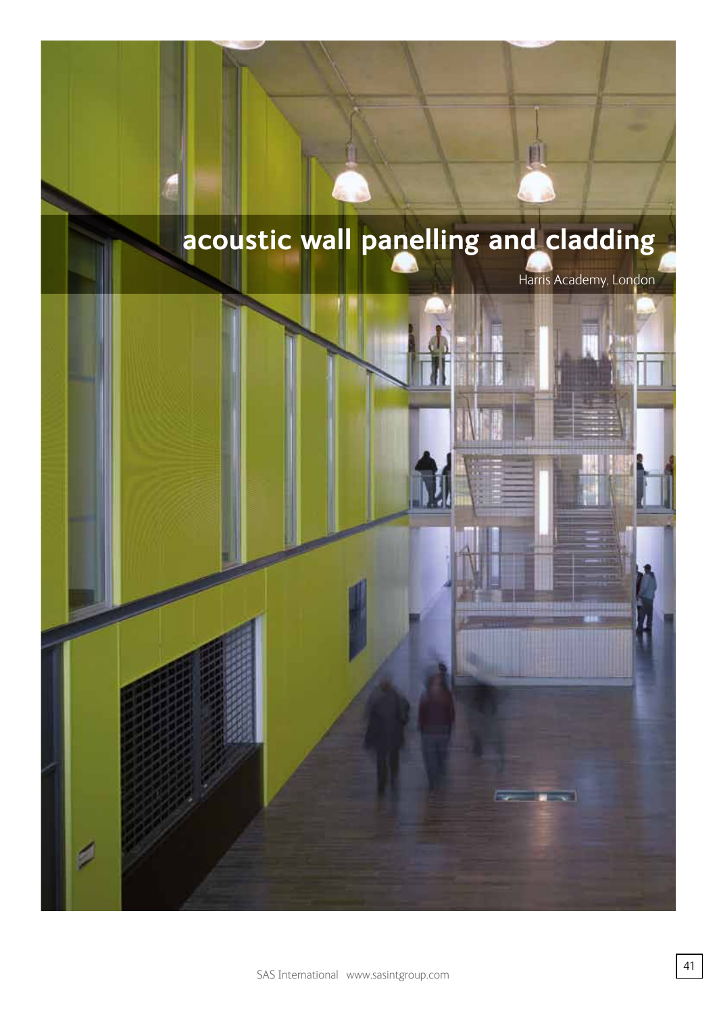# **acoustic wall panelling and cladding**

Harris Academy, London

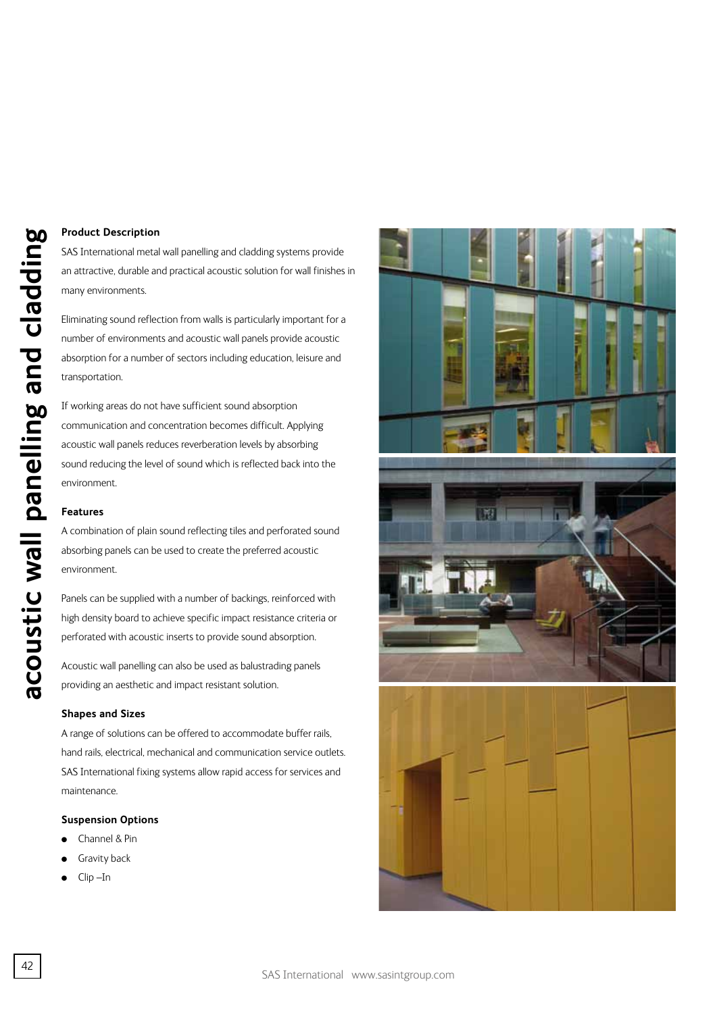## **Product Description**

SAS International metal wall panelling and cladding systems provide an attractive, durable and practical acoustic solution for wall finishes in many environments.

Eliminating sound reflection from walls is particularly important for a number of environments and acoustic wall panels provide acoustic absorption for a number of sectors including education, leisure and transportation.

If working areas do not have sufficient sound absorption communication and concentration becomes difficult. Applying acoustic wall panels reduces reverberation levels by absorbing sound reducing the level of sound which is reflected back into the environment.

### **Features**

A combination of plain sound reflecting tiles and perforated sound absorbing panels can be used to create the preferred acoustic environment.

Panels can be supplied with a number of backings, reinforced with high density board to achieve specific impact resistance criteria or perforated with acoustic inserts to provide sound absorption.

Acoustic wall panelling can also be used as balustrading panels providing an aesthetic and impact resistant solution.

#### **Shapes and Sizes**

A range of solutions can be offered to accommodate buffer rails, hand rails, electrical, mechanical and communication service outlets. SAS International fixing systems allow rapid access for services and maintenance.

#### **Suspension Options**

- <sup>l</sup> Channel & Pin
- **Gravity back**
- Clip-In

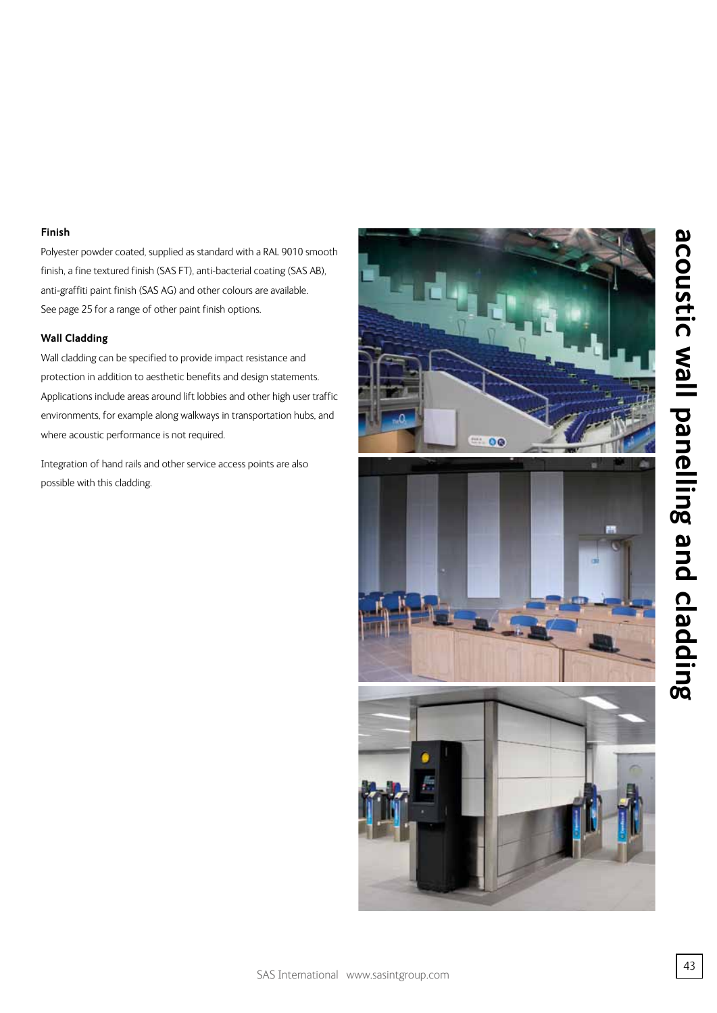## **Finish**

Polyester powder coated, supplied as standard with a RAL 9010 smooth finish, a fine textured finish (SAS FT), anti-bacterial coating (SAS AB), anti-graffiti paint finish (SAS AG) and other colours are available. See page 25 for a range of other paint finish options.

## **Wall Cladding**

Wall cladding can be specified to provide impact resistance and protection in addition to aesthetic benefits and design statements. Applications include areas around lift lobbies and other high user traffic environments, for example along walkways in transportation hubs, and where acoustic performance is not required.

Integration of hand rails and other service access points are also possible with this cladding.